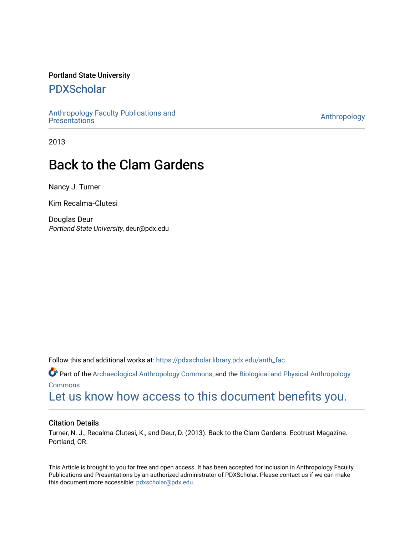### Portland State University

## [PDXScholar](https://pdxscholar.library.pdx.edu/)

[Anthropology Faculty Publications and](https://pdxscholar.library.pdx.edu/anth_fac) **Antiocential Control** Anthropology<br>Presentations

2013

## Back to the Clam Gardens

Nancy J. Turner

Kim Recalma‐Clutesi

Douglas Deur Portland State University, deur@pdx.edu

Follow this and additional works at: [https://pdxscholar.library.pdx.edu/anth\\_fac](https://pdxscholar.library.pdx.edu/anth_fac?utm_source=pdxscholar.library.pdx.edu%2Fanth_fac%2F138&utm_medium=PDF&utm_campaign=PDFCoverPages) 

Part of the [Archaeological Anthropology Commons](http://network.bepress.com/hgg/discipline/319?utm_source=pdxscholar.library.pdx.edu%2Fanth_fac%2F138&utm_medium=PDF&utm_campaign=PDFCoverPages), and the [Biological and Physical Anthropology](http://network.bepress.com/hgg/discipline/320?utm_source=pdxscholar.library.pdx.edu%2Fanth_fac%2F138&utm_medium=PDF&utm_campaign=PDFCoverPages)  **[Commons](http://network.bepress.com/hgg/discipline/320?utm_source=pdxscholar.library.pdx.edu%2Fanth_fac%2F138&utm_medium=PDF&utm_campaign=PDFCoverPages)** 

[Let us know how access to this document benefits you.](http://library.pdx.edu/services/pdxscholar-services/pdxscholar-feedback/?ref=https://pdxscholar.library.pdx.edu/anth_fac/138) 

#### Citation Details

Turner, N. J., Recalma-Clutesi, K., and Deur, D. (2013). Back to the Clam Gardens. Ecotrust Magazine. Portland, OR.

This Article is brought to you for free and open access. It has been accepted for inclusion in Anthropology Faculty Publications and Presentations by an authorized administrator of PDXScholar. Please contact us if we can make this document more accessible: [pdxscholar@pdx.edu.](mailto:pdxscholar@pdx.edu)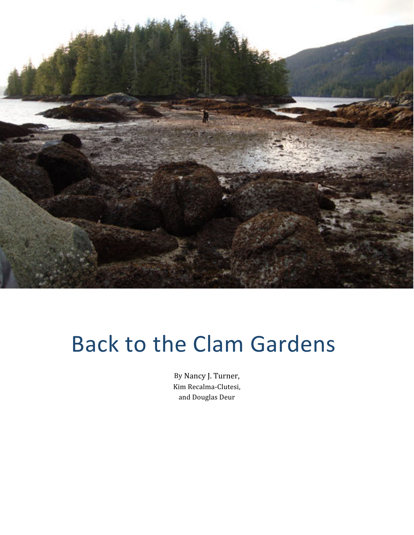

# Back to the Clam Gardens

By Nancy J. Turner, Kim Recalma‐Clutesi, and Douglas Deur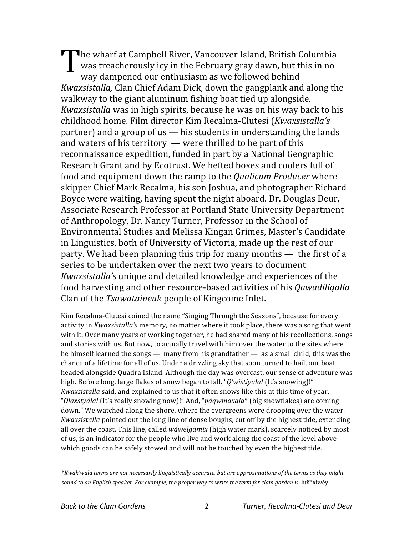he wharf at Campbell River, Vancouver Island, British Columbia was treacherously icy in the February gray dawn, but this in no way dampened our enthusiasm as we followed behind *Kwaxsistalla,* Clan Chief Adam Dick, down the gangplank and along the walkway to the giant aluminum fishing boat tied up alongside. *Kwaxsistalla* was in high spirits, because he was on his way back to his childhood home. Film director Kim Recalma‐Clutesi (*Kwaxsistalla's* partner) and a group of us — his students in understanding the lands and waters of his territory  $-\omega$  were thrilled to be part of this reconnaissance expedition, funded in part by a National Geographic Research Grant and by Ecotrust. We hefted boxes and coolers full of food and equipment down the ramp to the *Qualicum Producer* where skipper Chief Mark Recalma, his son Joshua, and photographer Richard Boyce were waiting, having spent the night aboard. Dr. Douglas Deur, Associate Research Professor at Portland State University Department of Anthropology, Dr. Nancy Turner, Professor in the School of Environmental Studies and Melissa Kingan Grimes, Master's Candidate in Linguistics, both of University of Victoria, made up the rest of our party. We had been planning this trip for many months — the first of a series to be undertaken over the next two years to document *Kwaxsistalla's* unique and detailed knowledge and experiences of the food harvesting and other resource‐based activities of his *Qawadiliqalla* Clan of the *Tsawataineuk* people of Kingcome Inlet.  $\prod_{w}^{h}$ 

Kim Recalma‐Clutesi coined the name "Singing Through the Seasons", because for every activity in *Kwaxsistalla's* memory, no matter where it took place, there was a song that went with it. Over many years of working together, he had shared many of his recollections, songs and stories with us. But now, to actually travel with him over the water to the sites where he himself learned the songs — many from his grandfather — as a small child, this was the chance of a lifetime for all of us. Under a drizzling sky that soon turned to hail, our boat headed alongside Quadra Island. Although the day was overcast, our sense of adventure was high. Before long, large flakes of snow began to fall. "*Q'wistiyala!* (It's snowing)!" *Kwaxsistalla* said, and explained to us that it often snows like this at this time of year. "*Olaxstyála!* (It's really snowing now)!" And, "*páqwmaxala*\* (big snowflakes) are coming down." We watched along the shore, where the evergreens were drooping over the water. *Kwaxsistalla* pointed out the long line of dense boughs, cut off by the highest tide, extending all over the coast. This line, called *wáwelgamix* (high water mark), scarcely noticed by most of us, is an indicator for the people who live and work along the coast of the level above which goods can be safely stowed and will not be touched by even the highest tide.

\**Kwak'wala terms are not necessarily linguistically accurate, but are approximations of the terms as they might sound to an English speaker. For example, the proper way to write the term for clam garden is*: lux̌ʷxiwēy.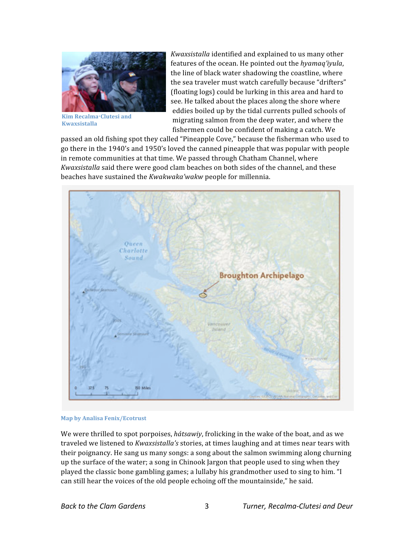

**Kim Recalma‐Clutesi and Kwaxsistalla** 

*Kwaxsistalla* identified and explained to us many other features of the ocean. He pointed out the *hyamaq'iyula*, the line of black water shadowing the coastline, where the sea traveler must watch carefully because "drifters" (floating logs) could be lurking in this area and hard to see. He talked about the places along the shore where eddies boiled up by the tidal currents pulled schools of migrating salmon from the deep water, and where the fishermen could be confident of making a catch. We

passed an old fishing spot they called "Pineapple Cove," because the fisherman who used to go there in the 1940's and 1950's loved the canned pineapple that was popular with people in remote communities at that time. We passed through Chatham Channel, where *Kwaxsistalla* said there were good clam beaches on both sides of the channel, and these beaches have sustained the *Kwakwaka'wakw* people for millennia.



**Map by Analisa Fenix/Ecotrust** 

We were thrilled to spot porpoises, *hátsawiy*, frolicking in the wake of the boat, and as we traveled we listened to *Kwaxsistalla's* stories, at times laughing and at times near tears with their poignancy. He sang us many songs: a song about the salmon swimming along churning up the surface of the water; a song in Chinook Jargon that people used to sing when they played the classic bone gambling games; a lullaby his grandmother used to sing to him. "I can still hear the voices of the old people echoing off the mountainside," he said.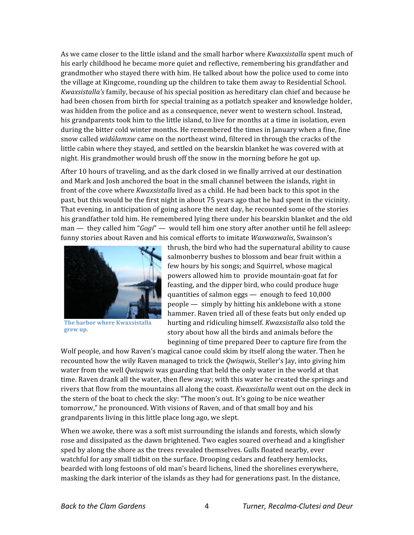As we came closer to the little island and the small harbor where *Kwaxsistalla* spent much of his early childhood he became more quiet and reflective, remembering his grandfather and grandmother who stayed there with him. He talked about how the police used to come into the village at Kingcome, rounding up the children to take them away to Residential School. *Kwaxsistalla's* family, because of his special position as hereditary clan chief and because he had been chosen from birth for special training as a potlatch speaker and knowledge holder, was hidden from the police and as a consequence, never went to western school. Instead, his grandparents took him to the little island, to live for months at a time in isolation, even during the bitter cold winter months. He remembered the times in January when a fine, fine snow called *widúlamxw* came on the northeast wind, filtered in through the cracks of the little cabin where they stayed, and settled on the bearskin blanket he was covered with at night. His grandmother would brush off the snow in the morning before he got up.

After 10 hours of traveling, and as the dark closed in we finally arrived at our destination and Mark and Josh anchored the boat in the small channel between the islands, right in front of the cove where *Kwaxsistalla* lived as a child. He had been back to this spot in the past, but this would be the first night in about 75 years ago that he had spent in the vicinity. That evening, in anticipation of going ashore the next day, he recounted some of the stories his grandfather told him. He remembered lying there under his bearskin blanket and the old man — they called him "*Gogi*" — would tell him one story after another until he fell asleep: funny stories about Raven and his comical efforts to imitate *Waxwaxwalis*, Swainson's



**The harbor where Kwaxsistalla grew up.** 

thrush, the bird who had the supernatural ability to cause salmonberry bushes to blossom and bear fruit within a few hours by his songs; and Squirrel, whose magical powers allowed him to provide mountain-goat fat for feasting, and the dipper bird, who could produce huge quantities of salmon eggs — enough to feed 10,000 people — simply by hitting his anklebone with a stone hammer. Raven tried all of these feats but only ended up hurting and ridiculing himself. *Kwaxsistalla* also told the story about how all the birds and animals before the beginning of time prepared Deer to capture fire from the

Wolf people, and how Raven's magical canoe could skim by itself along the water. Then he recounted how the wily Raven managed to trick the *Qwisqwis*, Steller's Jay, into giving him water from the well *Qwisqwis* was guarding that held the only water in the world at that time. Raven drank all the water, then flew away; with this water he created the springs and rivers that flow from the mountains all along the coast. *Kwaxsistalla* went out on the deck in the stern of the boat to check the sky: "The moon's out. It's going to be nice weather tomorrow," he pronounced. With visions of Raven, and of that small boy and his grandparents living in this little place long ago, we slept.

When we awoke, there was a soft mist surrounding the islands and forests, which slowly rose and dissipated as the dawn brightened. Two eagles soared overhead and a kingfisher sped by along the shore as the trees revealed themselves. Gulls floated nearby, ever watchful for any small tidbit on the surface. Drooping cedars and feathery hemlocks, bearded with long festoons of old man's beard lichens, lined the shorelines everywhere, masking the dark interior of the islands as they had for generations past. In the distance,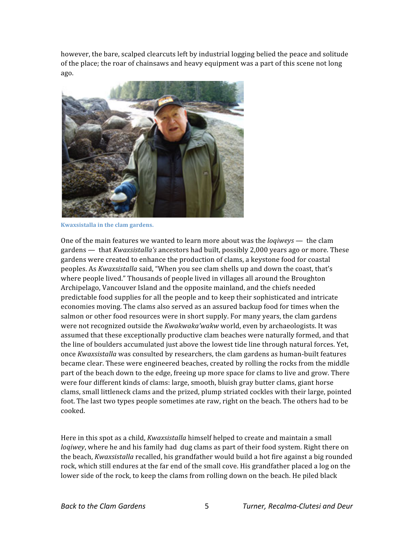however, the bare, scalped clearcuts left by industrial logging belied the peace and solitude of the place; the roar of chainsaws and heavy equipment was a part of this scene not long ago.



**Kwaxsistalla in the clam gardens.** 

One of the main features we wanted to learn more about was the *loqiweys* — the clam gardens — that *Kwaxsistalla's* ancestors had built, possibly 2,000 years ago or more. These gardens were created to enhance the production of clams, a keystone food for coastal peoples. As *Kwaxsistalla* said, "When you see clam shells up and down the coast, that's where people lived." Thousands of people lived in villages all around the Broughton Archipelago, Vancouver Island and the opposite mainland, and the chiefs needed predictable food supplies for all the people and to keep their sophisticated and intricate economies moving. The clams also served as an assured backup food for times when the salmon or other food resources were in short supply. For many years, the clam gardens were not recognized outside the *Kwakwaka'wakw* world, even by archaeologists. It was assumed that these exceptionally productive clam beaches were naturally formed, and that the line of boulders accumulated just above the lowest tide line through natural forces. Yet, once *Kwaxsistalla* was consulted by researchers, the clam gardens as human‐built features became clear. These were engineered beaches, created by rolling the rocks from the middle part of the beach down to the edge, freeing up more space for clams to live and grow. There were four different kinds of clams: large, smooth, bluish gray butter clams, giant horse clams, small littleneck clams and the prized, plump striated cockles with their large, pointed foot. The last two types people sometimes ate raw, right on the beach. The others had to be cooked.

Here in this spot as a child, *Kwaxsistalla* himself helped to create and maintain a small *loqiwey*, where he and his family had dug clams as part of their food system. Right there on the beach, *Kwaxsistalla* recalled, his grandfather would build a hot fire against a big rounded rock, which still endures at the far end of the small cove. His grandfather placed a log on the lower side of the rock, to keep the clams from rolling down on the beach. He piled black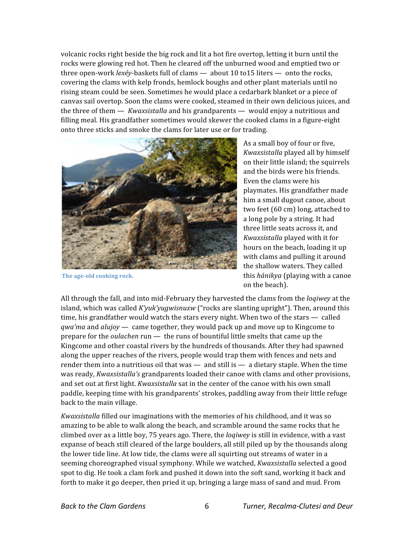volcanic rocks right beside the big rock and lit a hot fire overtop, letting it burn until the rocks were glowing red hot. Then he cleared off the unburned wood and emptied two or three open‐work *lexéy*‐baskets full of clams — about 10 to15 liters — onto the rocks, covering the clams with kelp fronds, hemlock boughs and other plant materials until no rising steam could be seen. Sometimes he would place a cedarbark blanket or a piece of canvas sail overtop. Soon the clams were cooked, steamed in their own delicious juices, and the three of them — *Kwaxsistalla* and his grandparents — would enjoy a nutritious and filling meal. His grandfather sometimes would skewer the cooked clams in a figure‐eight onto three sticks and smoke the clams for later use or for trading.



**The age‐old cooking rock.** 

As a small boy of four or five, *Kwaxsistalla* played all by himself on their little island; the squirrels and the birds were his friends. Even the clams were his playmates. His grandfather made him a small dugout canoe, about two feet (60 cm) long, attached to a long pole by a string. It had three little seats across it, and *Kwaxsistalla* played with it for hours on the beach, loading it up with clams and pulling it around the shallow waters. They called this *hánikya* (playing with a canoe on the beach).

All through the fall, and into mid‐February they harvested the clams from the *loqiwey* at the island, which was called *K'yuk'yugwisnuxw* ("rocks are slanting upright"). Then, around this time, his grandfather would watch the stars every night. When two of the stars — called *qwa'ma* and *alujoy* — came together, they would pack up and move up to Kingcome to prepare for the *oulachen* run — the runs of bountiful little smelts that came up the Kingcome and other coastal rivers by the hundreds of thousands. After they had spawned along the upper reaches of the rivers, people would trap them with fences and nets and render them into a nutritious oil that was — and still is — a dietary staple. When the time was ready, *Kwaxsistalla's* grandparents loaded their canoe with clams and other provisions, and set out at first light. *Kwaxsistalla* sat in the center of the canoe with his own small paddle, keeping time with his grandparents' strokes, paddling away from their little refuge back to the main village.

*Kwaxsistalla* filled our imaginations with the memories of his childhood, and it was so amazing to be able to walk along the beach, and scramble around the same rocks that he climbed over as a little boy, 75 years ago. There, the *loqiwey* is still in evidence, with a vast expanse of beach still cleared of the large boulders, all still piled up by the thousands along the lower tide line. At low tide, the clams were all squirting out streams of water in a seeming choreographed visual symphony. While we watched, *Kwaxsistalla* selected a good spot to dig. He took a clam fork and pushed it down into the soft sand, working it back and forth to make it go deeper, then pried it up, bringing a large mass of sand and mud. From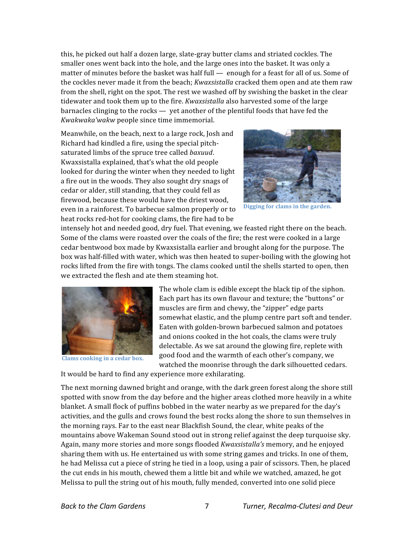this, he picked out half a dozen large, slate‐gray butter clams and striated cockles. The smaller ones went back into the hole, and the large ones into the basket. It was only a matter of minutes before the basket was half full — enough for a feast for all of us. Some of the cockles never made it from the beach; *Kwaxsistalla* cracked them open and ate them raw from the shell, right on the spot. The rest we washed off by swishing the basket in the clear tidewater and took them up to the fire. *Kwaxsistalla* also harvested some of the large barnacles clinging to the rocks — yet another of the plentiful foods that have fed the *Kwakwaka'wakw* people since time immemorial.

Meanwhile, on the beach, next to a large rock, Josh and Richard had kindled a fire, using the special pitch‐ saturated limbs of the spruce tree called *baxuud*. Kwaxsistalla explained, that's what the old people looked for during the winter when they needed to light a fire out in the woods. They also sought dry snags of cedar or alder, still standing, that they could fell as firewood, because these would have the driest wood, even in a rainforest. To barbecue salmon properly or to heat rocks red-hot for cooking clams, the fire had to be



**Digging for clams in the garden.** 

intensely hot and needed good, dry fuel. That evening, we feasted right there on the beach. Some of the clams were roasted over the coals of the fire; the rest were cooked in a large cedar bentwood box made by Kwaxsistalla earlier and brought along for the purpose. The box was half‐filled with water, which was then heated to super‐boiling with the glowing hot rocks lifted from the fire with tongs. The clams cooked until the shells started to open, then we extracted the flesh and ate them steaming hot.



**Clams cooking in a cedar box.** 

The whole clam is edible except the black tip of the siphon. Each part has its own flavour and texture; the "buttons" or muscles are firm and chewy, the "zipper" edge parts somewhat elastic, and the plump centre part soft and tender. Eaten with golden‐brown barbecued salmon and potatoes and onions cooked in the hot coals, the clams were truly delectable. As we sat around the glowing fire, replete with good food and the warmth of each other's company, we watched the moonrise through the dark silhouetted cedars.

It would be hard to find any experience more exhilarating.

The next morning dawned bright and orange, with the dark green forest along the shore still spotted with snow from the day before and the higher areas clothed more heavily in a white blanket. A small flock of puffins bobbed in the water nearby as we prepared for the day's activities, and the gulls and crows found the best rocks along the shore to sun themselves in the morning rays. Far to the east near Blackfish Sound, the clear, white peaks of the mountains above Wakeman Sound stood out in strong relief against the deep turquoise sky. Again, many more stories and more songs flooded *Kwaxsistalla's* memory, and he enjoyed sharing them with us. He entertained us with some string games and tricks. In one of them, he had Melissa cut a piece of string he tied in a loop, using a pair of scissors. Then, he placed the cut ends in his mouth, chewed them a little bit and while we watched, amazed, he got Melissa to pull the string out of his mouth, fully mended, converted into one solid piece